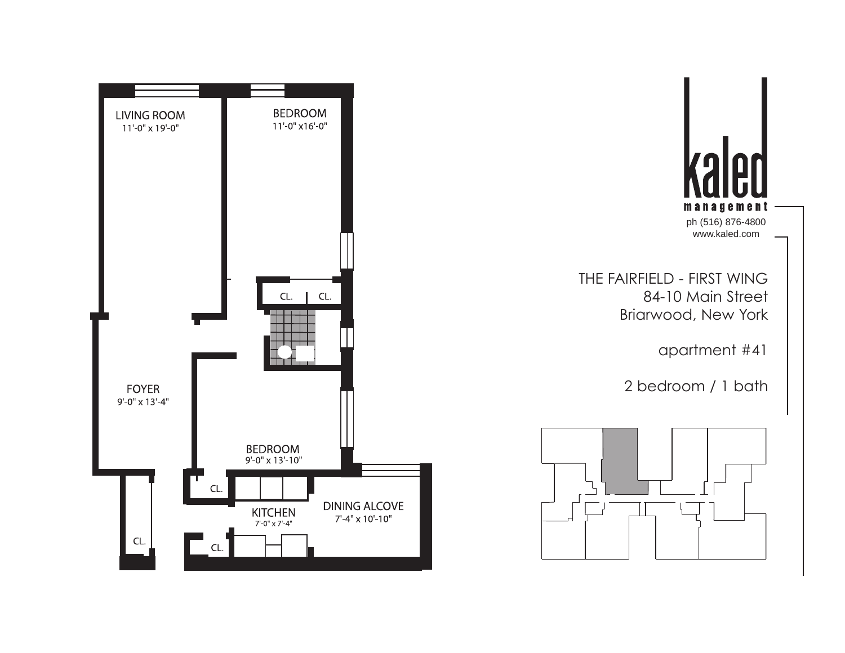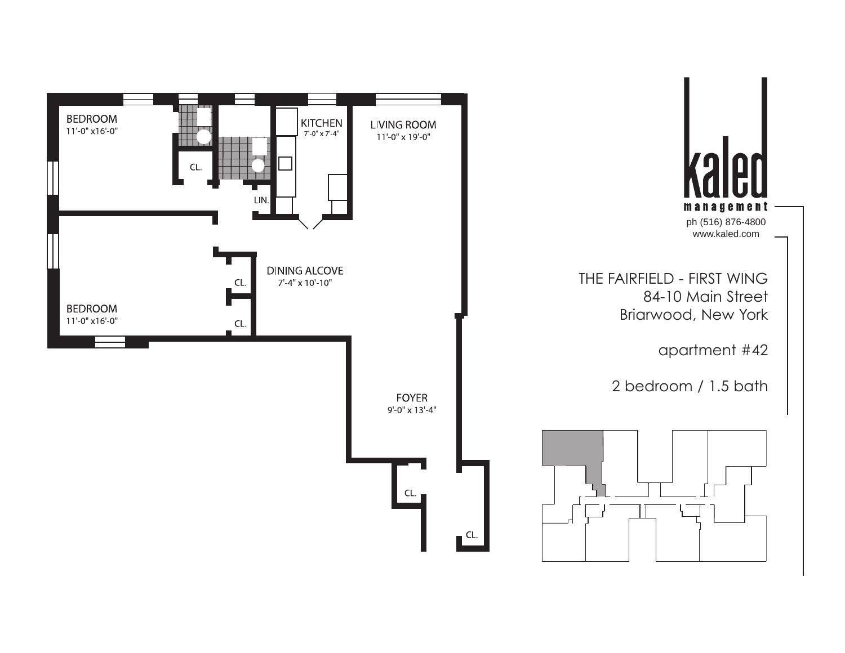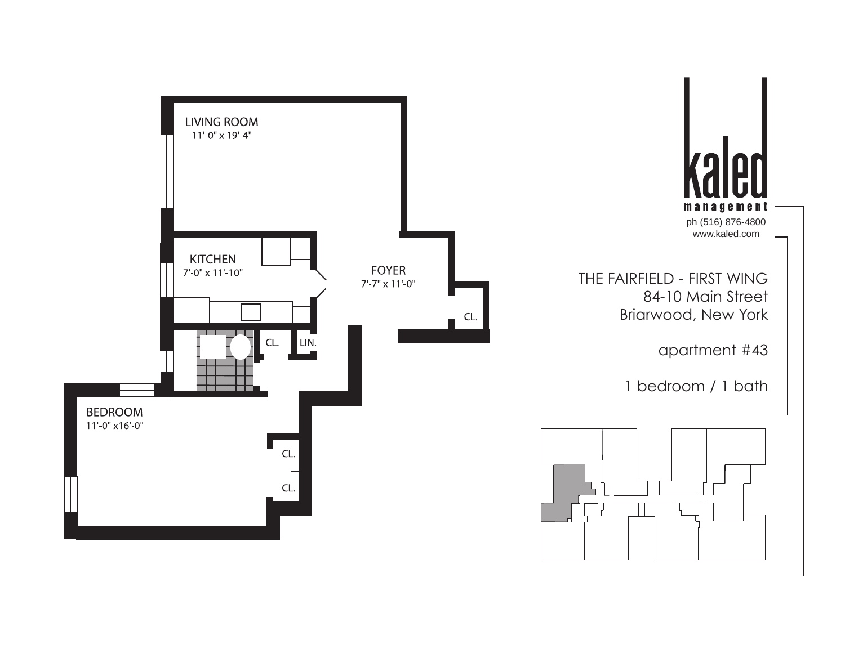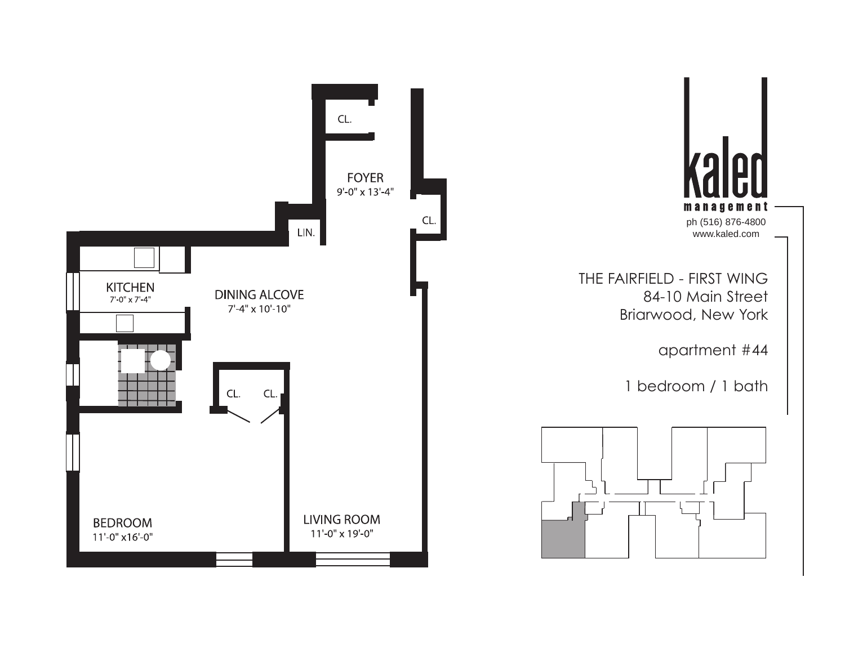

 $7' - 0'' \times 7' - 4''$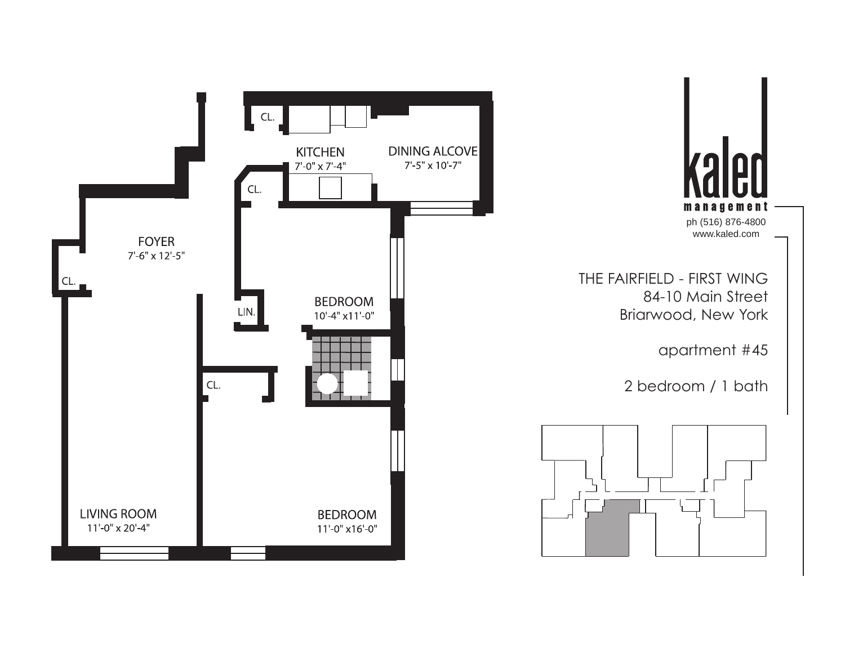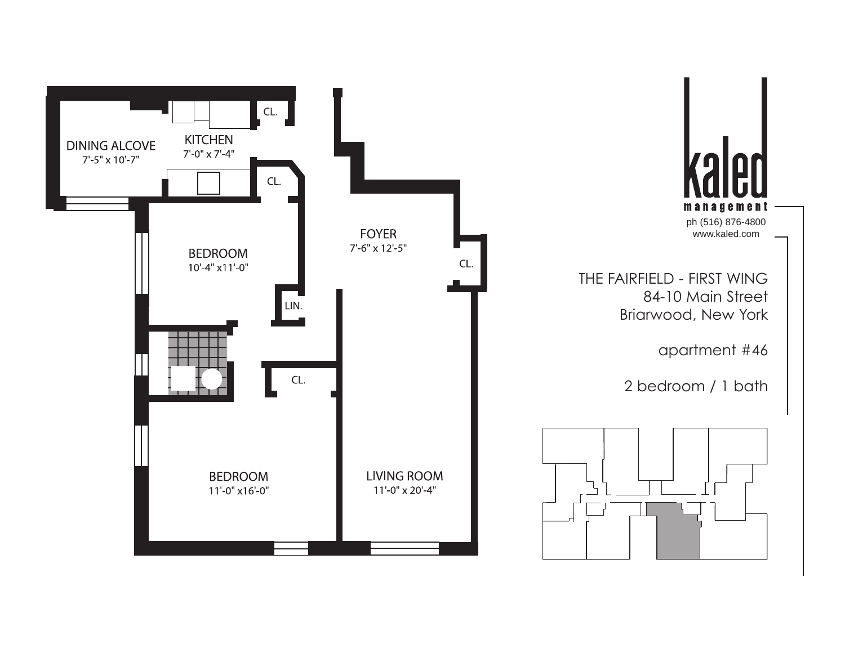$CL.$ **KITCHEN DINING ALCOVE** kolod  $7'$ -0" x 7'-4" CL. management ph (516) 876-4800 **FOYER** www.kaled.com $7'$ -6" x 12'-5" **BEDROOM** CL. 10'-4" x11'-0" THE FAIRFIELD - FIRST WING 84-10 Main Street LIN. Briarwood, New York apartment #46 CL. 2 bedroom / 1 bath **LIVING ROOM BEDROOM**  $11'-0''$  x16'-0"  $11'-0'' \times 20'-4''$ 

 $7'$ -5" x 10'-7"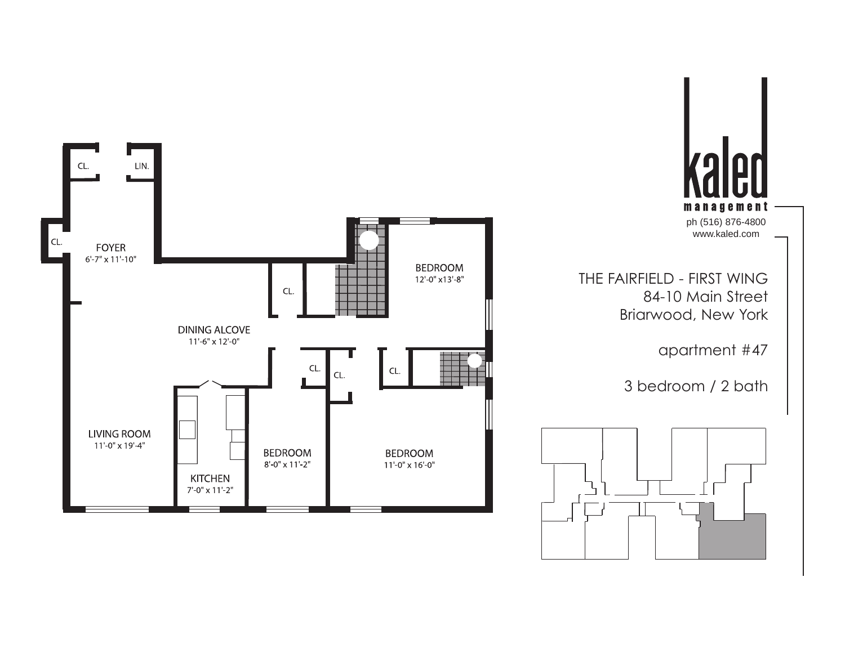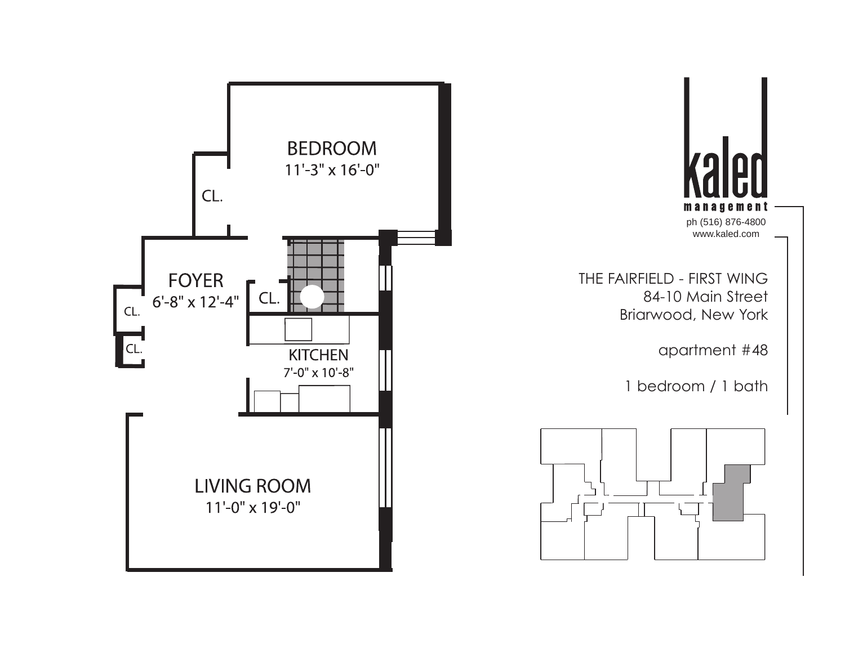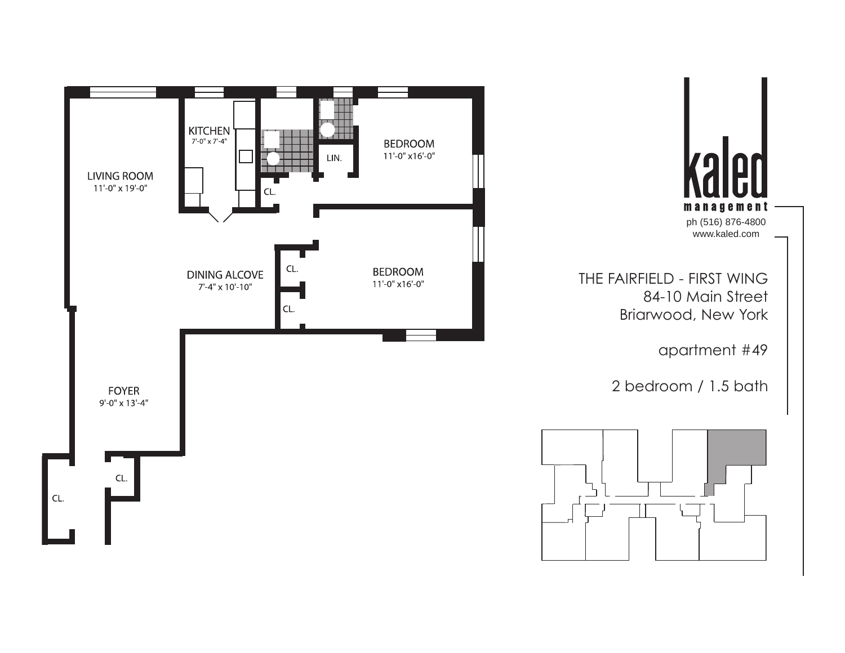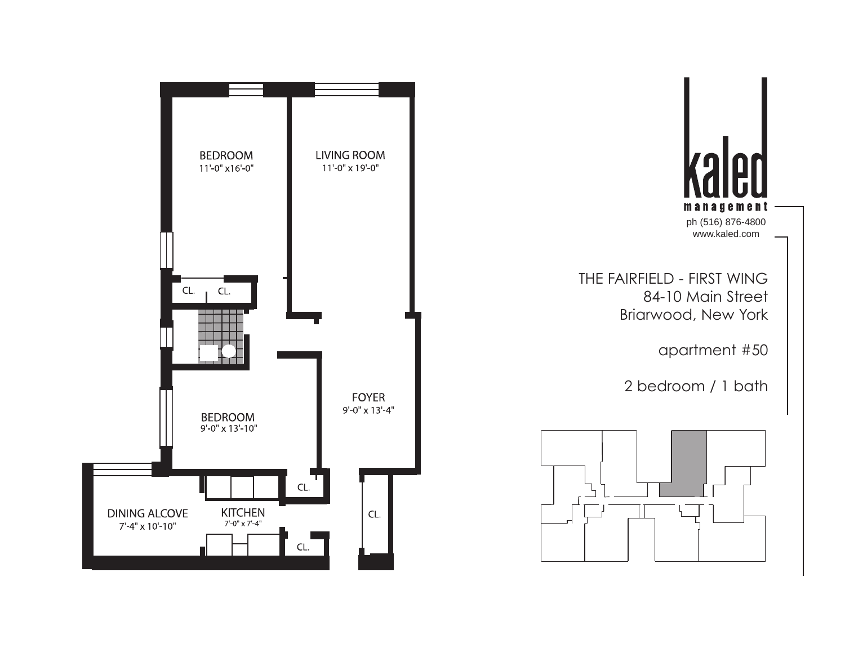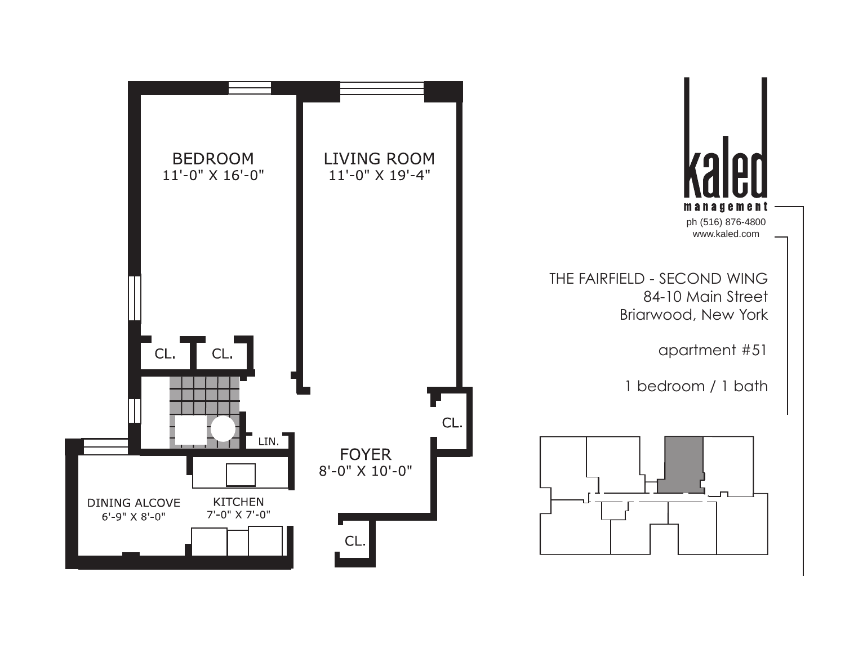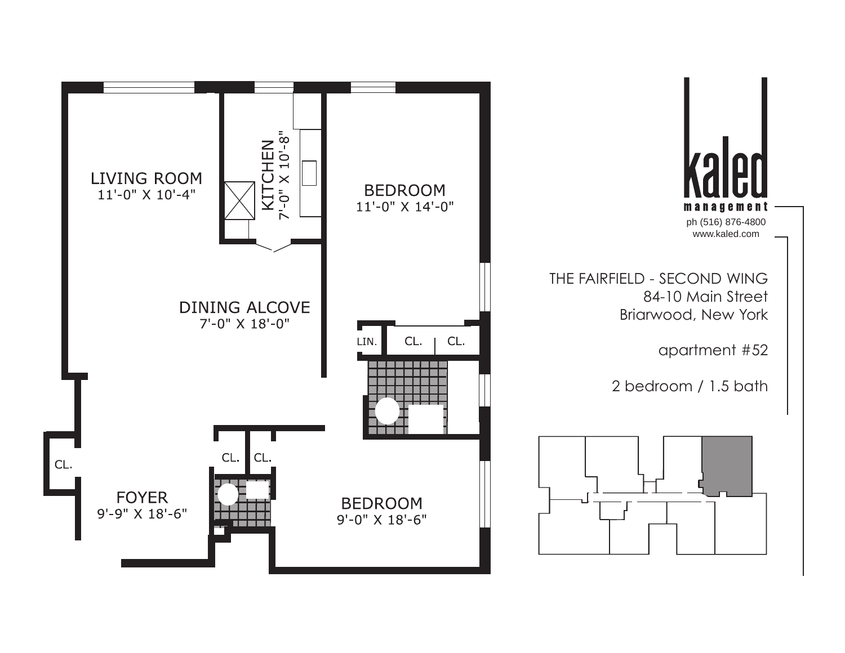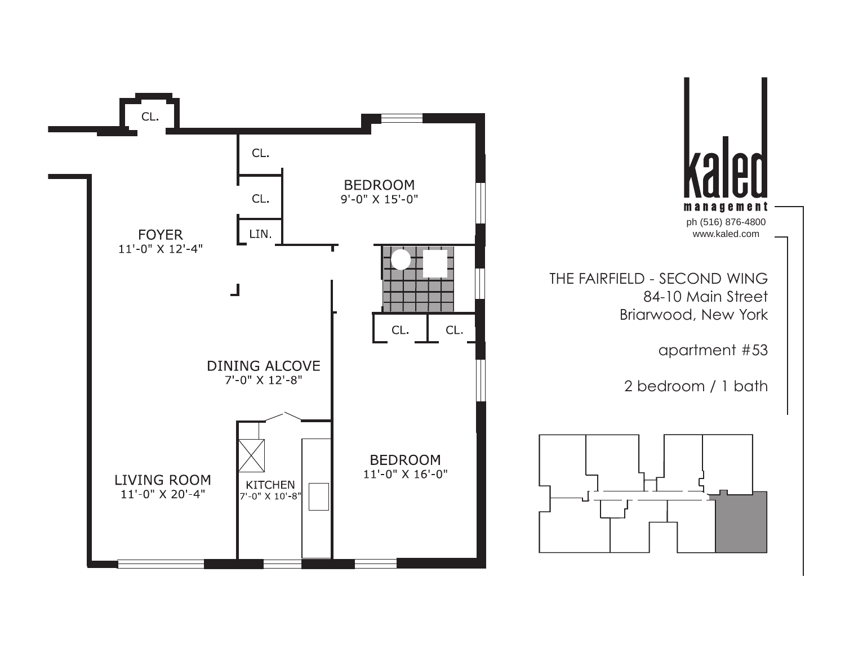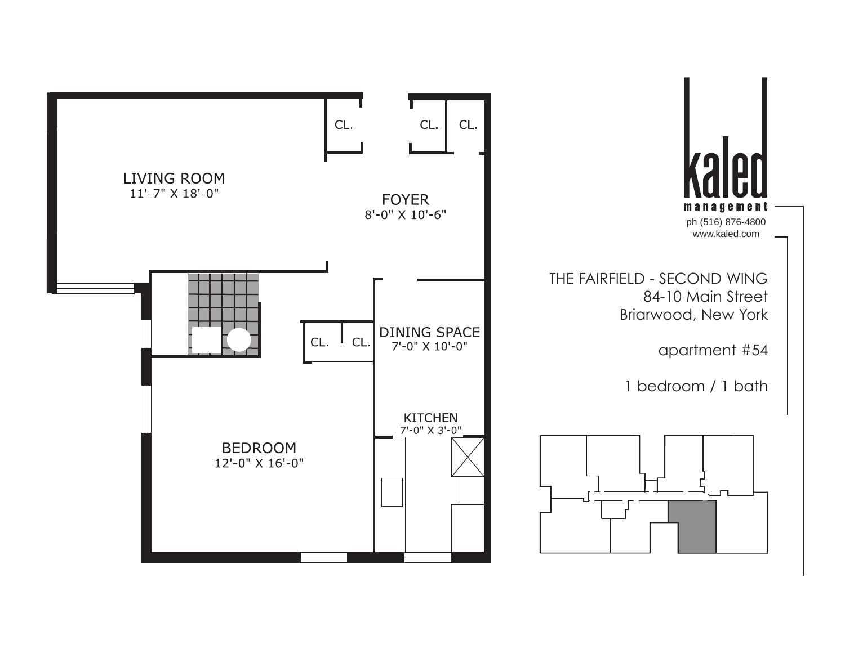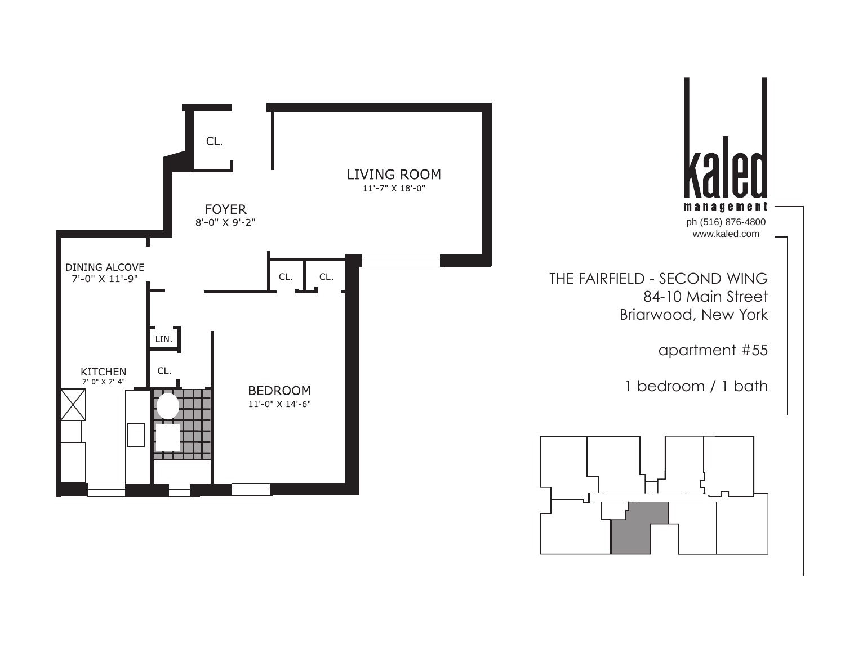![](_page_14_Figure_0.jpeg)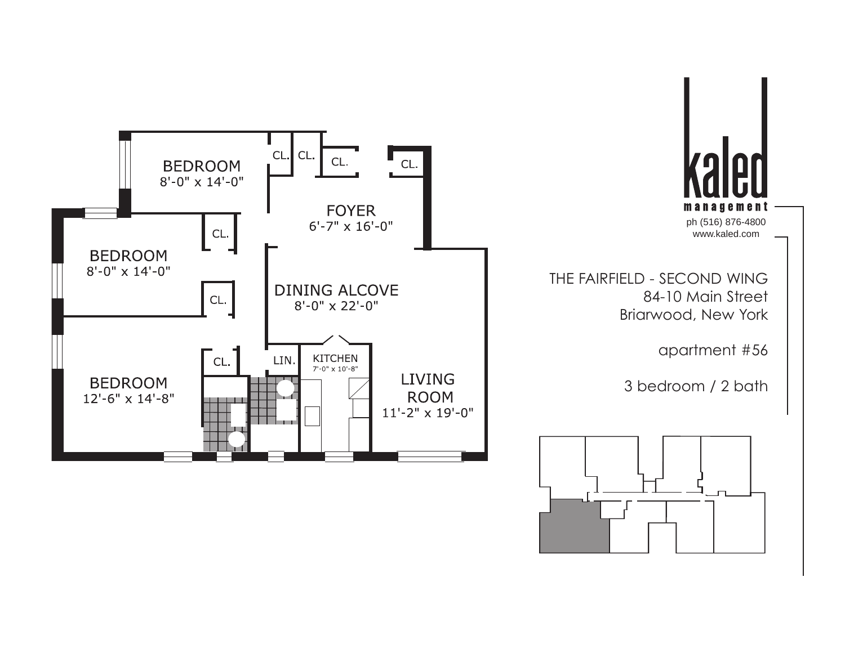![](_page_15_Figure_0.jpeg)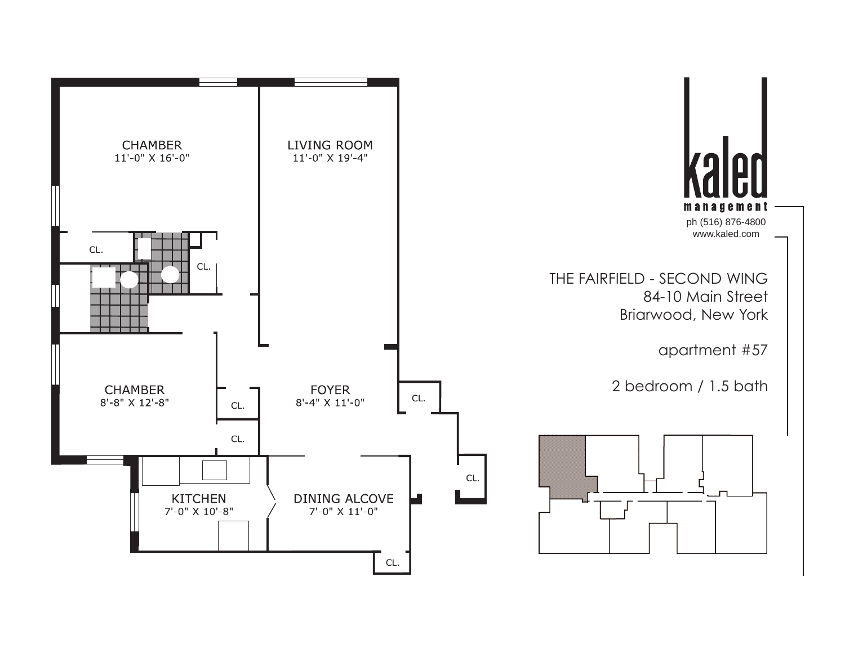![](_page_16_Figure_0.jpeg)